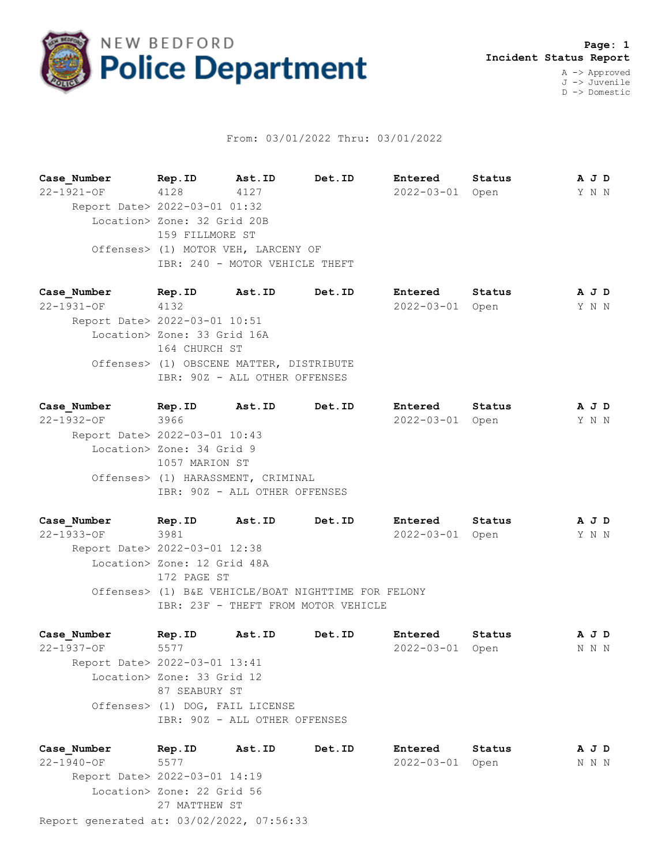

## From: 03/01/2022 Thru: 03/01/2022

**Case\_Number Rep.ID Ast.ID Det.ID Entered Status A J D** 22-1921-OF 4128 4127 2022-03-01 Open Y N N Report Date> 2022-03-01 01:32 Location> Zone: 32 Grid 20B 159 FILLMORE ST Offenses> (1) MOTOR VEH, LARCENY OF IBR: 240 - MOTOR VEHICLE THEFT

**Case\_Number Rep.ID Ast.ID Det.ID Entered Status A J D** 22-1931-OF 4132 2022-03-01 Open Y N N Report Date> 2022-03-01 10:51 Location> Zone: 33 Grid 16A 164 CHURCH ST Offenses> (1) OBSCENE MATTER, DISTRIBUTE IBR: 90Z - ALL OTHER OFFENSES

**Case\_Number Rep.ID Ast.ID Det.ID Entered Status A J D** 22-1932-OF 3966 2022-03-01 Open Y N N Report Date> 2022-03-01 10:43 Location> Zone: 34 Grid 9 1057 MARION ST Offenses> (1) HARASSMENT, CRIMINAL IBR: 90Z - ALL OTHER OFFENSES

**Case\_Number Rep.ID Ast.ID Det.ID Entered Status A J D** 22-1933-OF 3981 2022-03-01 Open Y N N Report Date> 2022-03-01 12:38 Location> Zone: 12 Grid 48A 172 PAGE ST Offenses> (1) B&E VEHICLE/BOAT NIGHTTIME FOR FELONY IBR: 23F - THEFT FROM MOTOR VEHICLE

**Case\_Number Rep.ID Ast.ID Det.ID Entered Status A J D** 22-1937-OF 5577 2022-03-01 Open N N N Report Date> 2022-03-01 13:41 Location> Zone: 33 Grid 12 87 SEABURY ST Offenses> (1) DOG, FAIL LICENSE IBR: 90Z - ALL OTHER OFFENSES

Report generated at: 03/02/2022, 07:56:33 **Case\_Number Rep.ID Ast.ID Det.ID Entered Status A J D** 22-1940-OF 5577 2022-03-01 Open N N N Report Date> 2022-03-01 14:19 Location> Zone: 22 Grid 56 27 MATTHEW ST